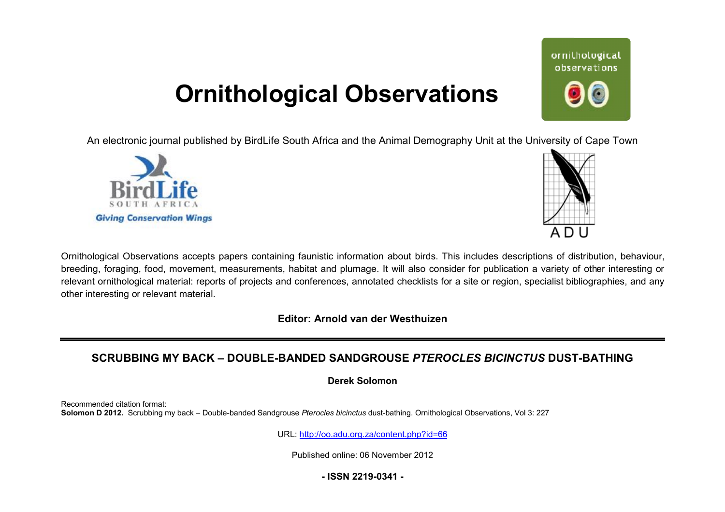## **Ornithological Observations**

An electronic journal published by BirdLife South Africa and the Animal Demography Unit at the University of Cape Town





ornithological observations

Ornithological Observations accepts papers containing faunistic information about birds. This includes descriptions of distribution, behaviour, breeding, foraging, food, movement, measurements, habitat and plumage. It will also consider for publication a variety of other interesting or relevant ornithological material: reports of projects and conferences, annotated checklists for a site or region, specialist bibliographies, and any other interesting or relevant material.

**Editor: Arnold van der Westhuizen**

## SCRUBBING MY BACK – DOUBLE-BANDED SANDGROUSE *PTEROCLES BICINCTUS* DUST-BATHING

**Derek Solomon** 

Recommended citation format: **Solomon D 2012.** Scrubbing my back – Double-banded Sandgrouse Pterocles bicinctus dust-bathing. Ornithological Observations, Vol 3: 227

URL: <http://oo.adu.org.za/content.php?id=66>

Published online: 06 November 2012

**- ISSN 2219-0341 -**